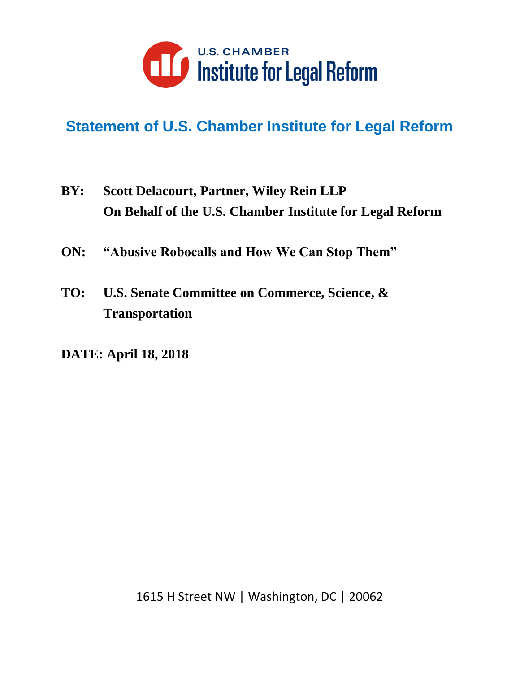

# **Statement of U.S. Chamber Institute for Legal Reform**

- **BY: Scott Delacourt, Partner, Wiley Rein LLP On Behalf of the U.S. Chamber Institute for Legal Reform**
- **ON: "Abusive Robocalls and How We Can Stop Them"**
- **TO: U.S. Senate Committee on Commerce, Science, & Transportation**
- **DATE: April 18, 2018**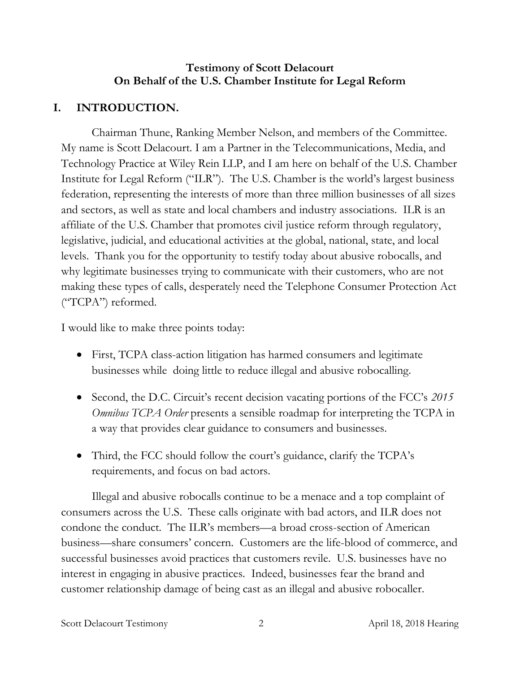### **Testimony of Scott Delacourt On Behalf of the U.S. Chamber Institute for Legal Reform**

# **I. INTRODUCTION.**

Chairman Thune, Ranking Member Nelson, and members of the Committee. My name is Scott Delacourt. I am a Partner in the Telecommunications, Media, and Technology Practice at Wiley Rein LLP, and I am here on behalf of the U.S. Chamber Institute for Legal Reform ("ILR"). The U.S. Chamber is the world's largest business federation, representing the interests of more than three million businesses of all sizes and sectors, as well as state and local chambers and industry associations. ILR is an affiliate of the U.S. Chamber that promotes civil justice reform through regulatory, legislative, judicial, and educational activities at the global, national, state, and local levels. Thank you for the opportunity to testify today about abusive robocalls, and why legitimate businesses trying to communicate with their customers, who are not making these types of calls, desperately need the Telephone Consumer Protection Act ("TCPA") reformed.

I would like to make three points today:

- First, TCPA class-action litigation has harmed consumers and legitimate businesses while doing little to reduce illegal and abusive robocalling.
- Second, the D.C. Circuit's recent decision vacating portions of the FCC's *2015 Omnibus TCPA Order* presents a sensible roadmap for interpreting the TCPA in a way that provides clear guidance to consumers and businesses.
- Third, the FCC should follow the court's guidance, clarify the TCPA's requirements, and focus on bad actors.

Illegal and abusive robocalls continue to be a menace and a top complaint of consumers across the U.S. These calls originate with bad actors, and ILR does not condone the conduct. The ILR's members—a broad cross-section of American business—share consumers' concern. Customers are the life-blood of commerce, and successful businesses avoid practices that customers revile. U.S. businesses have no interest in engaging in abusive practices. Indeed, businesses fear the brand and customer relationship damage of being cast as an illegal and abusive robocaller.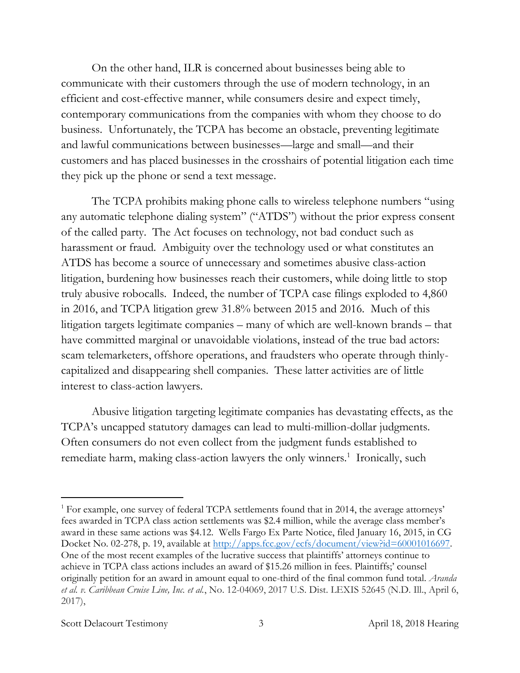On the other hand, ILR is concerned about businesses being able to communicate with their customers through the use of modern technology, in an efficient and cost-effective manner, while consumers desire and expect timely, contemporary communications from the companies with whom they choose to do business. Unfortunately, the TCPA has become an obstacle, preventing legitimate and lawful communications between businesses—large and small—and their customers and has placed businesses in the crosshairs of potential litigation each time they pick up the phone or send a text message.

The TCPA prohibits making phone calls to wireless telephone numbers "using any automatic telephone dialing system" ("ATDS") without the prior express consent of the called party. The Act focuses on technology, not bad conduct such as harassment or fraud. Ambiguity over the technology used or what constitutes an ATDS has become a source of unnecessary and sometimes abusive class-action litigation, burdening how businesses reach their customers, while doing little to stop truly abusive robocalls. Indeed, the number of TCPA case filings exploded to 4,860 in 2016, and TCPA litigation grew 31.8% between 2015 and 2016. Much of this litigation targets legitimate companies – many of which are well-known brands – that have committed marginal or unavoidable violations, instead of the true bad actors: scam telemarketers, offshore operations, and fraudsters who operate through thinlycapitalized and disappearing shell companies. These latter activities are of little interest to class-action lawyers.

Abusive litigation targeting legitimate companies has devastating effects, as the TCPA's uncapped statutory damages can lead to multi-million-dollar judgments. Often consumers do not even collect from the judgment funds established to remediate harm, making class-action lawyers the only winners.<sup>1</sup> Ironically, such

#### Scott Delacourt Testimony 3 3 April 18, 2018 Hearing

<sup>&</sup>lt;sup>1</sup> For example, one survey of federal TCPA settlements found that in 2014, the average attorneys' fees awarded in TCPA class action settlements was \$2.4 million, while the average class member's award in these same actions was \$4.12. Wells Fargo Ex Parte Notice, filed January 16, 2015, in CG Docket No. 02-278, p. 19, available at [http://apps.fcc.gov/ecfs/document/view?id=60001016697.](http://apps.fcc.gov/ecfs/document/view?id=60001016697) One of the most recent examples of the lucrative success that plaintiffs' attorneys continue to achieve in TCPA class actions includes an award of \$15.26 million in fees. Plaintiffs;' counsel originally petition for an award in amount equal to one-third of the final common fund total. *Aranda et al. v. Caribbean Cruise Line, Inc. et al.*, No. 12-04069, 2017 U.S. Dist. LEXIS 52645 (N.D. Ill., April 6, 2017),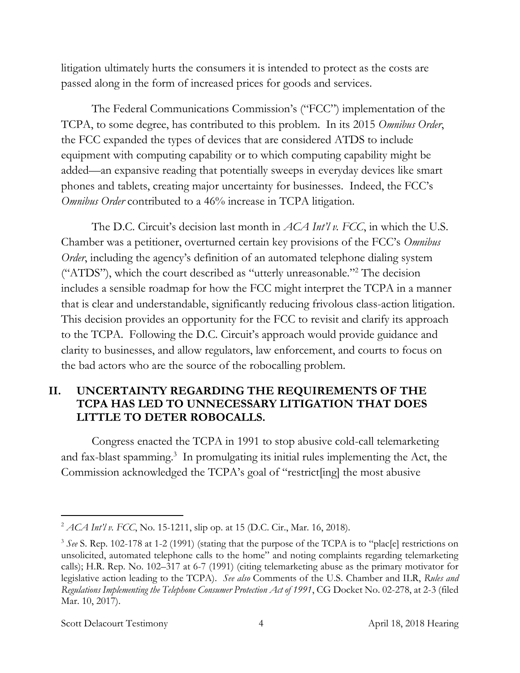litigation ultimately hurts the consumers it is intended to protect as the costs are passed along in the form of increased prices for goods and services.

The Federal Communications Commission's ("FCC") implementation of the TCPA, to some degree, has contributed to this problem. In its 2015 *Omnibus Order*, the FCC expanded the types of devices that are considered ATDS to include equipment with computing capability or to which computing capability might be added—an expansive reading that potentially sweeps in everyday devices like smart phones and tablets, creating major uncertainty for businesses. Indeed, the FCC's *Omnibus Order* contributed to a 46% increase in TCPA litigation.

The D.C. Circuit's decision last month in *ACA Int'l v. FCC*, in which the U.S. Chamber was a petitioner, overturned certain key provisions of the FCC's *Omnibus Order*, including the agency's definition of an automated telephone dialing system ("ATDS"), which the court described as "utterly unreasonable."<sup>2</sup> The decision includes a sensible roadmap for how the FCC might interpret the TCPA in a manner that is clear and understandable, significantly reducing frivolous class-action litigation. This decision provides an opportunity for the FCC to revisit and clarify its approach to the TCPA. Following the D.C. Circuit's approach would provide guidance and clarity to businesses, and allow regulators, law enforcement, and courts to focus on the bad actors who are the source of the robocalling problem.

### **II. UNCERTAINTY REGARDING THE REQUIREMENTS OF THE TCPA HAS LED TO UNNECESSARY LITIGATION THAT DOES LITTLE TO DETER ROBOCALLS.**

Congress enacted the TCPA in 1991 to stop abusive cold-call telemarketing and fax-blast spamming.<sup>3</sup> In promulgating its initial rules implementing the Act, the Commission acknowledged the TCPA's goal of "restrict[ing] the most abusive

Scott Delacourt Testimony 14 April 18, 2018 Hearing

<sup>2</sup> *ACA Int'l v. FCC*, No. 15-1211, slip op. at 15 (D.C. Cir., Mar. 16, 2018).

<sup>&</sup>lt;sup>3</sup> See S. Rep. 102-178 at 1-2 (1991) (stating that the purpose of the TCPA is to "plac[e] restrictions on unsolicited, automated telephone calls to the home" and noting complaints regarding telemarketing calls); H.R. Rep. No. 102–317 at 6-7 (1991) (citing telemarketing abuse as the primary motivator for legislative action leading to the TCPA). *See also* Comments of the U.S. Chamber and ILR, *Rules and Regulations Implementing the Telephone Consumer Protection Act of 1991*, CG Docket No. 02-278, at 2-3 (filed Mar. 10, 2017).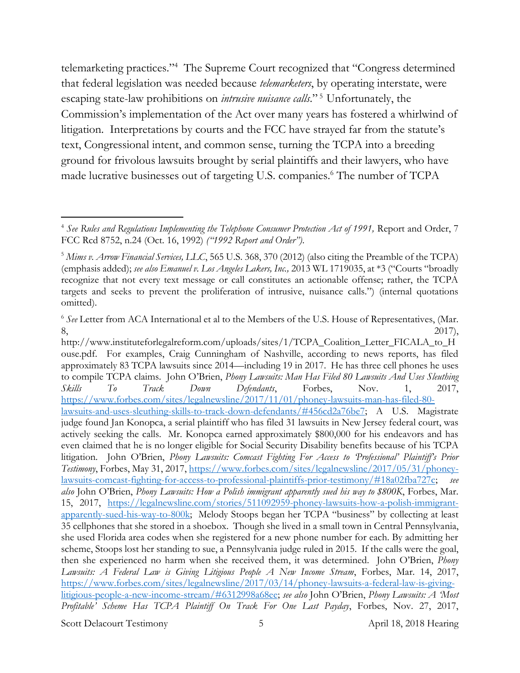telemarketing practices."<sup>4</sup> The Supreme Court recognized that "Congress determined that federal legislation was needed because *telemarketers*, by operating interstate, were escaping state-law prohibitions on *intrusive nuisance calls*."<sup>5</sup> Unfortunately, the Commission's implementation of the Act over many years has fostered a whirlwind of litigation. Interpretations by courts and the FCC have strayed far from the statute's text, Congressional intent, and common sense, turning the TCPA into a breeding ground for frivolous lawsuits brought by serial plaintiffs and their lawyers, who have made lucrative businesses out of targeting U.S. companies.<sup>6</sup> The number of TCPA

Scott Delacourt Testimony 5 5 April 18, 2018 Hearing

<sup>&</sup>lt;sup>4</sup> See Rules and Regulations Implementing the Telephone Consumer Protection Act of 1991, Report and Order, 7 FCC Rcd 8752, n.24 (Oct. 16, 1992) *("1992 Report and Order")*.

<sup>5</sup> *Mims v. Arrow Financial Services, LLC*, 565 U.S. 368, 370 (2012) (also citing the Preamble of the TCPA) (emphasis added); *see also Emanuel v. Los Angeles Lakers, Inc.,* 2013 WL 1719035, at \*3 ("Courts "broadly recognize that not every text message or call constitutes an actionable offense; rather, the TCPA targets and seeks to prevent the proliferation of intrusive, nuisance calls.") (internal quotations omitted).

<sup>&</sup>lt;sup>6</sup> See Letter from ACA International et al to the Members of the U.S. House of Representatives, (Mar.  $8,$  2017),

http://www.instituteforlegalreform.com/uploads/sites/1/TCPA\_Coalition\_Letter\_FICALA\_to\_H ouse.pdf. For examples, Craig Cunningham of Nashville, according to news reports, has filed approximately 83 TCPA lawsuits since 2014—including 19 in 2017. He has three cell phones he uses to compile TCPA claims. John O'Brien, *Phony Lawsuits: Man Has Filed 80 Lawsuits And Uses Sleuthing Skills To Track Down Defendants*, Forbes, Nov. 1, 2017, [https://www.forbes.com/sites/legalnewsline/2017/11/01/phoney-lawsuits-man-has-filed-80](https://www.forbes.com/sites/legalnewsline/2017/11/01/phoney-lawsuits-man-has-filed-80-lawsuits-and-uses-sleuthing-skills-to-track-down-defendants/#456cd2a76be7) [lawsuits-and-uses-sleuthing-skills-to-track-down-defendants/#456cd2a76be7;](https://www.forbes.com/sites/legalnewsline/2017/11/01/phoney-lawsuits-man-has-filed-80-lawsuits-and-uses-sleuthing-skills-to-track-down-defendants/#456cd2a76be7) A U.S. Magistrate judge found Jan Konopca, a serial plaintiff who has filed 31 lawsuits in New Jersey federal court, was actively seeking the calls. Mr. Konopca earned approximately \$800,000 for his endeavors and has even claimed that he is no longer eligible for Social Security Disability benefits because of his TCPA litigation. John O'Brien, *Phony Lawsuits: Comcast Fighting For Access to 'Professional' Plaintiff's Prior Testimony*, Forbes, May 31, 2017, [https://www.forbes.com/sites/legalnewsline/2017/05/31/phoney](https://www.forbes.com/sites/legalnewsline/2017/05/31/phoney-lawsuits-comcast-fighting-for-access-to-professional-plaintiffs-prior-testimony/#18a02fba727c)[lawsuits-comcast-fighting-for-access-to-professional-plaintiffs-prior-testimony/#18a02fba727c;](https://www.forbes.com/sites/legalnewsline/2017/05/31/phoney-lawsuits-comcast-fighting-for-access-to-professional-plaintiffs-prior-testimony/#18a02fba727c) *see also* John O'Brien, *Phony Lawsuits: How a Polish immigrant apparently sued his way to \$800K*, Forbes, Mar. 15, 2017, [https://legalnewsline.com/stories/511092959-phoney-lawsuits-how-a-polish-immigrant](https://legalnewsline.com/stories/511092959-phoney-lawsuits-how-a-polish-immigrant-apparently-sued-his-way-to-800k)[apparently-sued-his-way-to-800k;](https://legalnewsline.com/stories/511092959-phoney-lawsuits-how-a-polish-immigrant-apparently-sued-his-way-to-800k) Melody Stoops began her TCPA "business" by collecting at least 35 cellphones that she stored in a shoebox. Though she lived in a small town in Central Pennsylvania, she used Florida area codes when she registered for a new phone number for each. By admitting her scheme, Stoops lost her standing to sue, a Pennsylvania judge ruled in 2015. If the calls were the goal, then she experienced no harm when she received them, it was determined. John O'Brien, *Phony Lawsuits: A Federal Law is Giving Litigious People A New Income Stream*, Forbes, Mar. 14, 2017, [https://www.forbes.com/sites/legalnewsline/2017/03/14/phoney-lawsuits-a-federal-law-is-giving](https://www.forbes.com/sites/legalnewsline/2017/03/14/phoney-lawsuits-a-federal-law-is-giving-litigious-people-a-new-income-stream/#6312998a68ee)[litigious-people-a-new-income-stream/#6312998a68ee;](https://www.forbes.com/sites/legalnewsline/2017/03/14/phoney-lawsuits-a-federal-law-is-giving-litigious-people-a-new-income-stream/#6312998a68ee) *see also* John O'Brien, *Phony Lawsuits: A 'Most Profitable' Scheme Has TCPA Plaintiff On Track For One Last Payday*, Forbes, Nov. 27, 2017,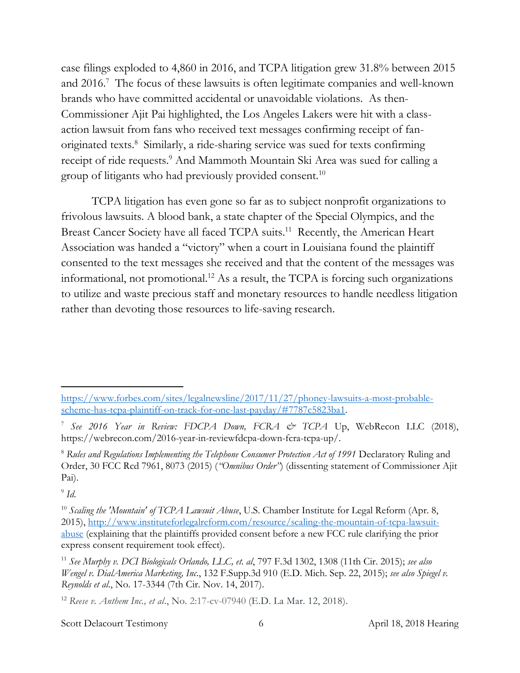case filings exploded to 4,860 in 2016, and TCPA litigation grew 31.8% between 2015 and 2016.<sup>7</sup> The focus of these lawsuits is often legitimate companies and well-known brands who have committed accidental or unavoidable violations. As then-Commissioner Ajit Pai highlighted, the Los Angeles Lakers were hit with a classaction lawsuit from fans who received text messages confirming receipt of fanoriginated texts.<sup>8</sup> Similarly, a ride-sharing service was sued for texts confirming receipt of ride requests. <sup>9</sup> And Mammoth Mountain Ski Area was sued for calling a group of litigants who had previously provided consent.<sup>10</sup>

TCPA litigation has even gone so far as to subject nonprofit organizations to frivolous lawsuits. A blood bank, a state chapter of the Special Olympics, and the Breast Cancer Society have all faced TCPA suits.<sup>11</sup> Recently, the American Heart Association was handed a "victory" when a court in Louisiana found the plaintiff consented to the text messages she received and that the content of the messages was informational, not promotional.<sup>12</sup> As a result, the TCPA is forcing such organizations to utilize and waste precious staff and monetary resources to handle needless litigation rather than devoting those resources to life-saving research.

 $\overline{a}$ 

Scott Delacourt Testimony 6 6 April 18, 2018 Hearing

[https://www.forbes.com/sites/legalnewsline/2017/11/27/phoney-lawsuits-a-most-probable](https://www.forbes.com/sites/legalnewsline/2017/11/27/phoney-lawsuits-a-most-probable-scheme-has-tcpa-plaintiff-on-track-for-one-last-payday/#7787c5823ba1)[scheme-has-tcpa-plaintiff-on-track-for-one-last-payday/#7787c5823ba1.](https://www.forbes.com/sites/legalnewsline/2017/11/27/phoney-lawsuits-a-most-probable-scheme-has-tcpa-plaintiff-on-track-for-one-last-payday/#7787c5823ba1)

<sup>7</sup> *See 2016 Year in Review: FDCPA Down, FCRA & TCPA* Up, WebRecon LLC (2018), https://webrecon.com/2016-year-in-reviewfdcpa-down-fcra-tcpa-up/.

<sup>&</sup>lt;sup>8</sup> Rules and Regulations Implementing the Telephone Consumer Protection Act of 1991 Declaratory Ruling and Order, 30 FCC Rcd 7961, 8073 (2015) (*"Omnibus Order"*) (dissenting statement of Commissioner Ajit Pai).

<sup>9</sup> *Id*.

<sup>&</sup>lt;sup>10</sup> Scaling the 'Mountain' of TCPA Lawsuit Abuse, U.S. Chamber Institute for Legal Reform (Apr. 8, 2015), [http://www.instituteforlegalreform.com/resource/scaling-the-mountain-of-tcpa-lawsuit](http://www.instituteforlegalreform.com/resource/scaling-the-mountain-of-tcpa-lawsuit-abuse)[abuse](http://www.instituteforlegalreform.com/resource/scaling-the-mountain-of-tcpa-lawsuit-abuse) (explaining that the plaintiffs provided consent before a new FCC rule clarifying the prior express consent requirement took effect).

<sup>11</sup> *See Murphy v. DCI Biologicals Orlando, LLC, et. al*, 797 F.3d 1302, 1308 (11th Cir. 2015); *see also Wengel v. DialAmerica Marketing, Inc*., 132 F.Supp.3d 910 (E.D. Mich. Sep. 22, 2015); *see also Spiegel v. Reynolds et al*., No. 17-3344 (7th Cir. Nov. 14, 2017).

<sup>12</sup> *Reese v. Anthem Inc., et al*., No. 2:17-cv-07940 (E.D. La Mar. 12, 2018).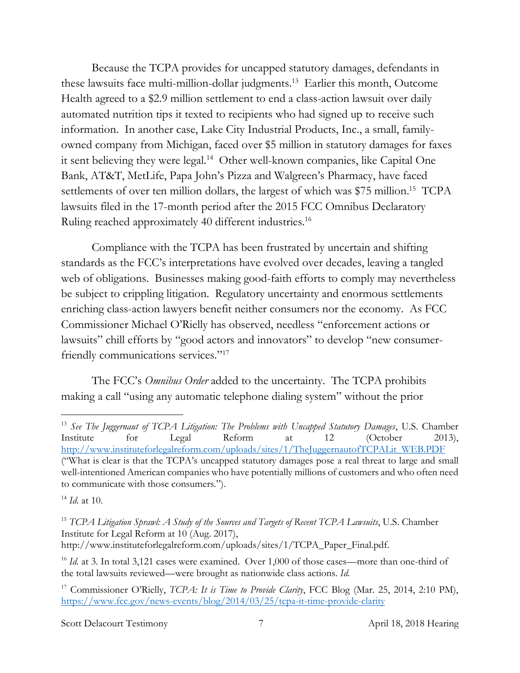Because the TCPA provides for uncapped statutory damages, defendants in these lawsuits face multi-million-dollar judgments.<sup>13</sup> Earlier this month, Outcome Health agreed to a \$2.9 million settlement to end a class-action lawsuit over daily automated nutrition tips it texted to recipients who had signed up to receive such information. In another case, Lake City Industrial Products, Inc., a small, familyowned company from Michigan, faced over \$5 million in statutory damages for faxes it sent believing they were legal.<sup>14</sup> Other well-known companies, like Capital One Bank, AT&T, MetLife, Papa John's Pizza and Walgreen's Pharmacy, have faced settlements of over ten million dollars, the largest of which was \$75 million. <sup>15</sup> TCPA lawsuits filed in the 17-month period after the 2015 FCC Omnibus Declaratory Ruling reached approximately 40 different industries.<sup>16</sup>

Compliance with the TCPA has been frustrated by uncertain and shifting standards as the FCC's interpretations have evolved over decades, leaving a tangled web of obligations. Businesses making good-faith efforts to comply may nevertheless be subject to crippling litigation. Regulatory uncertainty and enormous settlements enriching class-action lawyers benefit neither consumers nor the economy. As FCC Commissioner Michael O'Rielly has observed, needless "enforcement actions or lawsuits" chill efforts by "good actors and innovators" to develop "new consumerfriendly communications services."<sup>17</sup>

The FCC's *Omnibus Order* added to the uncertainty. The TCPA prohibits making a call "using any automatic telephone dialing system" without the prior

 $\overline{a}$ 

Scott Delacourt Testimony 7 April 18, 2018 Hearing

<sup>13</sup> *See The Juggernaut of TCPA Litigation: The Problems with Uncapped Statutory Damages*, U.S. Chamber Institute for Legal Reform at 12 (October 2013), http://www.instituteforlegalreform.com/uploads/sites/1/TheJuggernautofTCPALit\_WEB.PDF ("What is clear is that the TCPA's uncapped statutory damages pose a real threat to large and small well-intentioned American companies who have potentially millions of customers and who often need to communicate with those consumers.").

<sup>14</sup> *Id*. at 10.

<sup>&</sup>lt;sup>15</sup> *TCPA Litigation Sprawl: A Study of the Sources and Targets of Recent TCPA Lawsuits*, U.S. Chamber Institute for Legal Reform at 10 (Aug. 2017), http://www.instituteforlegalreform.com/uploads/sites/1/TCPA\_Paper\_Final.pdf.

<sup>&</sup>lt;sup>16</sup> *Id.* at 3. In total 3,121 cases were examined. Over 1,000 of those cases—more than one-third of the total lawsuits reviewed—were brought as nationwide class actions. *Id.*

<sup>17</sup> Commissioner O'Rielly, *TCPA: It is Time to Provide Clarity*, FCC Blog (Mar. 25, 2014, 2:10 PM), <https://www.fcc.gov/news-events/blog/2014/03/25/tcpa-it-time-provide-clarity>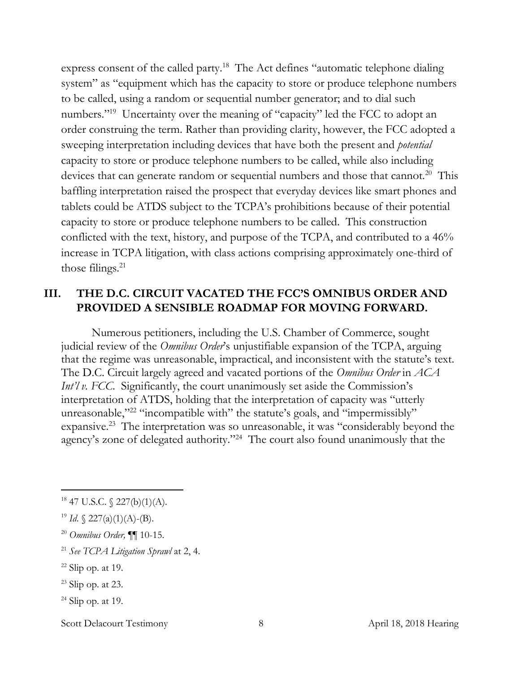express consent of the called party.<sup>18</sup> The Act defines "automatic telephone dialing system" as "equipment which has the capacity to store or produce telephone numbers to be called, using a random or sequential number generator; and to dial such numbers."<sup>19</sup> Uncertainty over the meaning of "capacity" led the FCC to adopt an order construing the term. Rather than providing clarity, however, the FCC adopted a sweeping interpretation including devices that have both the present and *potential* capacity to store or produce telephone numbers to be called, while also including devices that can generate random or sequential numbers and those that cannot.<sup>20</sup> This baffling interpretation raised the prospect that everyday devices like smart phones and tablets could be ATDS subject to the TCPA's prohibitions because of their potential capacity to store or produce telephone numbers to be called. This construction conflicted with the text, history, and purpose of the TCPA, and contributed to a 46% increase in TCPA litigation, with class actions comprising approximately one-third of those filings.<sup>21</sup>

## **III. THE D.C. CIRCUIT VACATED THE FCC'S OMNIBUS ORDER AND PROVIDED A SENSIBLE ROADMAP FOR MOVING FORWARD.**

Numerous petitioners, including the U.S. Chamber of Commerce, sought judicial review of the *Omnibus Order*'s unjustifiable expansion of the TCPA, arguing that the regime was unreasonable, impractical, and inconsistent with the statute's text. The D.C. Circuit largely agreed and vacated portions of the *Omnibus Order* in *ACA Int'l v. FCC.* Significantly, the court unanimously set aside the Commission's interpretation of ATDS, holding that the interpretation of capacity was "utterly unreasonable,"<sup>22</sup> "incompatible with" the statute's goals, and "impermissibly" expansive.<sup>23</sup> The interpretation was so unreasonable, it was "considerably beyond the agency's zone of delegated authority."<sup>24</sup> The court also found unanimously that the

<sup>20</sup> *Omnibus Order,* ¶¶ 10-15.

 $\overline{a}$ 

 $24$  Slip op. at 19.

Scott Delacourt Testimony 8 8 April 18, 2018 Hearing

 $18$  47 U.S.C.  $\{(227(b)(1)(A)).\}$ 

<sup>&</sup>lt;sup>19</sup> *Id.*  $\{ 227(a)(1)(A) - (B) \}.$ 

<sup>21</sup> *See TCPA Litigation Sprawl* at 2, 4.

 $22$  Slip op. at 19.

 $23$  Slip op. at 23.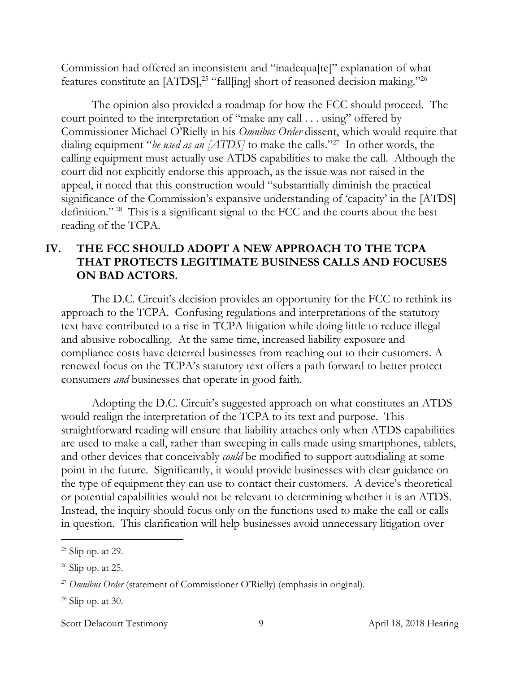Commission had offered an inconsistent and "inadequa[te]" explanation of what features constitute an [ATDS], <sup>25</sup> "fall[ing] short of reasoned decision making."<sup>26</sup>

The opinion also provided a roadmap for how the FCC should proceed. The court pointed to the interpretation of "make any call . . . using" offered by Commissioner Michael O'Rielly in his *Omnibus Order* dissent, which would require that dialing equipment "*be used as an [ATDS]* to make the calls."<sup>27</sup> In other words, the calling equipment must actually use ATDS capabilities to make the call. Although the court did not explicitly endorse this approach, as the issue was not raised in the appeal, it noted that this construction would "substantially diminish the practical significance of the Commission's expansive understanding of 'capacity' in the [ATDS] definition." <sup>28</sup> This is a significant signal to the FCC and the courts about the best reading of the TCPA.

### **IV. THE FCC SHOULD ADOPT A NEW APPROACH TO THE TCPA THAT PROTECTS LEGITIMATE BUSINESS CALLS AND FOCUSES ON BAD ACTORS.**

The D.C. Circuit's decision provides an opportunity for the FCC to rethink its approach to the TCPA. Confusing regulations and interpretations of the statutory text have contributed to a rise in TCPA litigation while doing little to reduce illegal and abusive robocalling. At the same time, increased liability exposure and compliance costs have deterred businesses from reaching out to their customers. A renewed focus on the TCPA's statutory text offers a path forward to better protect consumers *and* businesses that operate in good faith.

Adopting the D.C. Circuit's suggested approach on what constitutes an ATDS would realign the interpretation of the TCPA to its text and purpose. This straightforward reading will ensure that liability attaches only when ATDS capabilities are used to make a call, rather than sweeping in calls made using smartphones, tablets, and other devices that conceivably *could* be modified to support autodialing at some point in the future. Significantly, it would provide businesses with clear guidance on the type of equipment they can use to contact their customers. A device's theoretical or potential capabilities would not be relevant to determining whether it is an ATDS. Instead, the inquiry should focus only on the functions used to make the call or calls in question. This clarification will help businesses avoid unnecessary litigation over

 $\overline{a}$ 

Scott Delacourt Testimony 9 9 April 18, 2018 Hearing

 $25$  Slip op. at 29.

 $26$  Slip op. at 25.

<sup>&</sup>lt;sup>27</sup> *Omnibus Order* (statement of Commissioner O'Rielly) (emphasis in original).

 $28$  Slip op. at 30.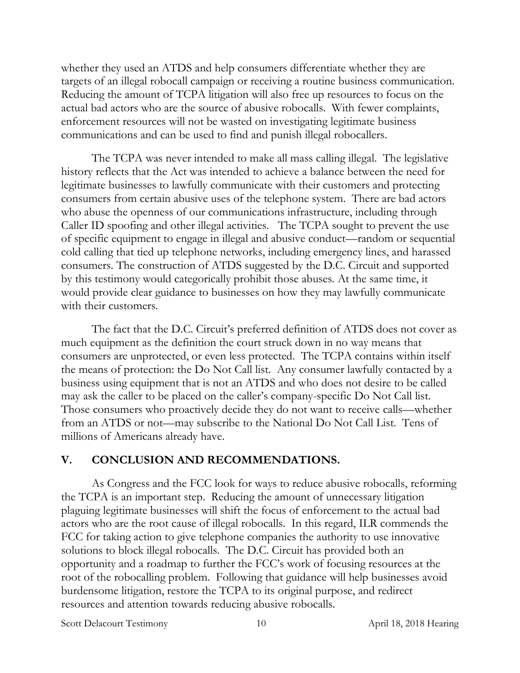whether they used an ATDS and help consumers differentiate whether they are targets of an illegal robocall campaign or receiving a routine business communication. Reducing the amount of TCPA litigation will also free up resources to focus on the actual bad actors who are the source of abusive robocalls. With fewer complaints, enforcement resources will not be wasted on investigating legitimate business communications and can be used to find and punish illegal robocallers.

The TCPA was never intended to make all mass calling illegal. The legislative history reflects that the Act was intended to achieve a balance between the need for legitimate businesses to lawfully communicate with their customers and protecting consumers from certain abusive uses of the telephone system. There are bad actors who abuse the openness of our communications infrastructure, including through Caller ID spoofing and other illegal activities. The TCPA sought to prevent the use of specific equipment to engage in illegal and abusive conduct—random or sequential cold calling that tied up telephone networks, including emergency lines, and harassed consumers. The construction of ATDS suggested by the D.C. Circuit and supported by this testimony would categorically prohibit those abuses. At the same time, it would provide clear guidance to businesses on how they may lawfully communicate with their customers.

The fact that the D.C. Circuit's preferred definition of ATDS does not cover as much equipment as the definition the court struck down in no way means that consumers are unprotected, or even less protected. The TCPA contains within itself the means of protection: the Do Not Call list. Any consumer lawfully contacted by a business using equipment that is not an ATDS and who does not desire to be called may ask the caller to be placed on the caller's company-specific Do Not Call list. Those consumers who proactively decide they do not want to receive calls—whether from an ATDS or not—may subscribe to the National Do Not Call List. Tens of millions of Americans already have.

#### **V. CONCLUSION AND RECOMMENDATIONS.**

As Congress and the FCC look for ways to reduce abusive robocalls, reforming the TCPA is an important step. Reducing the amount of unnecessary litigation plaguing legitimate businesses will shift the focus of enforcement to the actual bad actors who are the root cause of illegal robocalls. In this regard, ILR commends the FCC for taking action to give telephone companies the authority to use innovative solutions to block illegal robocalls. The D.C. Circuit has provided both an opportunity and a roadmap to further the FCC's work of focusing resources at the root of the robocalling problem. Following that guidance will help businesses avoid burdensome litigation, restore the TCPA to its original purpose, and redirect resources and attention towards reducing abusive robocalls.

Scott Delacourt Testimony 10 10 April 18, 2018 Hearing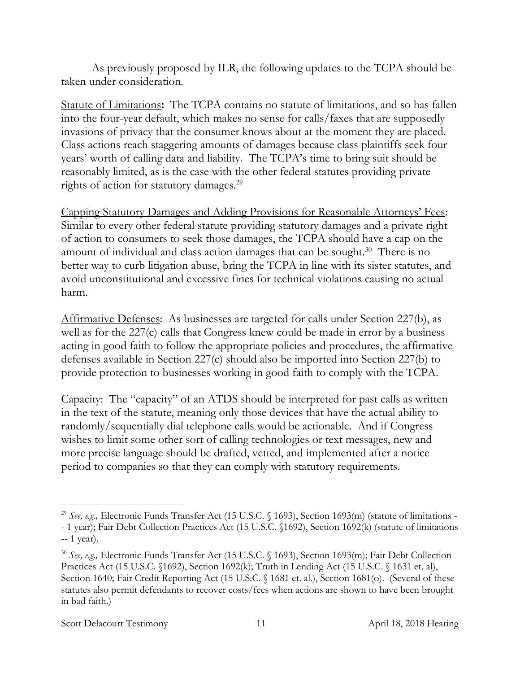As previously proposed by ILR, the following updates to the TCPA should be taken under consideration.

Statute of Limitations**:** The TCPA contains no statute of limitations, and so has fallen into the four-year default, which makes no sense for calls/faxes that are supposedly invasions of privacy that the consumer knows about at the moment they are placed. Class actions reach staggering amounts of damages because class plaintiffs seek four years' worth of calling data and liability. The TCPA's time to bring suit should be reasonably limited, as is the case with the other federal statutes providing private rights of action for statutory damages.<sup>29</sup>

Capping Statutory Damages and Adding Provisions for Reasonable Attorneys' Fees: Similar to every other federal statute providing statutory damages and a private right of action to consumers to seek those damages, the TCPA should have a cap on the amount of individual and class action damages that can be sought.<sup>30</sup> There is no better way to curb litigation abuse, bring the TCPA in line with its sister statutes, and avoid unconstitutional and excessive fines for technical violations causing no actual harm.

Affirmative Defenses: As businesses are targeted for calls under Section 227(b), as well as for the 227(c) calls that Congress knew could be made in error by a business acting in good faith to follow the appropriate policies and procedures, the affirmative defenses available in Section 227(c) should also be imported into Section 227(b) to provide protection to businesses working in good faith to comply with the TCPA.

Capacity: The "capacity" of an ATDS should be interpreted for past calls as written in the text of the statute, meaning only those devices that have the actual ability to randomly/sequentially dial telephone calls would be actionable. And if Congress wishes to limit some other sort of calling technologies or text messages, new and more precise language should be drafted, vetted, and implemented after a notice period to companies so that they can comply with statutory requirements.

<sup>&</sup>lt;sup>29</sup> See, e.g., Electronic Funds Transfer Act (15 U.S.C. § 1693), Section 1693(m) (statute of limitations -- 1 year); Fair Debt Collection Practices Act (15 U.S.C. §1692), Section 1692(k) (statute of limitations -- 1 year).

<sup>30</sup> *See, e.g.,* Electronic Funds Transfer Act (15 U.S.C. § 1693), Section 1693(m); Fair Debt Collection Practices Act (15 U.S.C. §1692), Section 1692(k); Truth in Lending Act (15 U.S.C. § 1631 et. al), Section 1640; Fair Credit Reporting Act (15 U.S.C. § 1681 et. al.), Section 1681(o). (Several of these statutes also permit defendants to recover costs/fees when actions are shown to have been brought in bad faith.)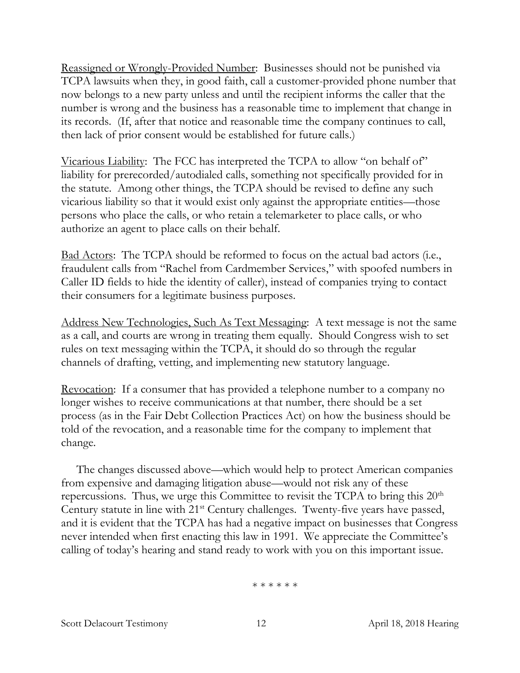Reassigned or Wrongly-Provided Number: Businesses should not be punished via TCPA lawsuits when they, in good faith, call a customer-provided phone number that now belongs to a new party unless and until the recipient informs the caller that the number is wrong and the business has a reasonable time to implement that change in its records. (If, after that notice and reasonable time the company continues to call, then lack of prior consent would be established for future calls.)

Vicarious Liability: The FCC has interpreted the TCPA to allow "on behalf of" liability for prerecorded/autodialed calls, something not specifically provided for in the statute. Among other things, the TCPA should be revised to define any such vicarious liability so that it would exist only against the appropriate entities—those persons who place the calls, or who retain a telemarketer to place calls, or who authorize an agent to place calls on their behalf.

Bad Actors: The TCPA should be reformed to focus on the actual bad actors (i.e., fraudulent calls from "Rachel from Cardmember Services," with spoofed numbers in Caller ID fields to hide the identity of caller), instead of companies trying to contact their consumers for a legitimate business purposes.

Address New Technologies, Such As Text Messaging: A text message is not the same as a call, and courts are wrong in treating them equally. Should Congress wish to set rules on text messaging within the TCPA, it should do so through the regular channels of drafting, vetting, and implementing new statutory language.

Revocation: If a consumer that has provided a telephone number to a company no longer wishes to receive communications at that number, there should be a set process (as in the Fair Debt Collection Practices Act) on how the business should be told of the revocation, and a reasonable time for the company to implement that change.

The changes discussed above—which would help to protect American companies from expensive and damaging litigation abuse—would not risk any of these repercussions. Thus, we urge this Committee to revisit the TCPA to bring this  $20<sup>th</sup>$ Century statute in line with 21<sup>st</sup> Century challenges. Twenty-five years have passed, and it is evident that the TCPA has had a negative impact on businesses that Congress never intended when first enacting this law in 1991. We appreciate the Committee's calling of today's hearing and stand ready to work with you on this important issue.

\* \* \* \* \* \*